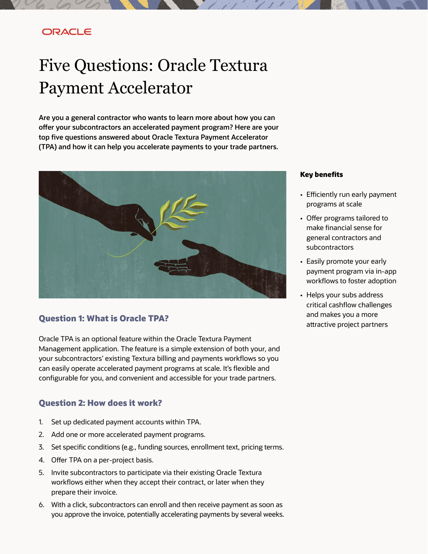# ORACLE

# Five Questions: Oracle Textura Payment Accelerator

**Are you a general contractor who wants to learn more about how you can offer your subcontractors an accelerated payment program? Here are your top five questions answered about Oracle Textura Payment Accelerator (TPA) and how it can help you accelerate payments to your trade partners.**



## **Question 1: What is Oracle TPA?**

Oracle TPA is an optional feature within the Oracle Textura Payment Management application. The feature is a simple extension of both your, and your subcontractors' existing Textura billing and payments workflows so you can easily operate accelerated payment programs at scale. It's flexible and configurable for you, and convenient and accessible for your trade partners.

### **Question 2: How does it work?**

- 1. Set up dedicated payment accounts within TPA.
- 2. Add one or more accelerated payment programs.
- 3. Set specific conditions (e.g., funding sources, enrollment text, pricing terms.
- 4. Offer TPA on a per-project basis.
- 5. Invite subcontractors to participate via their existing Oracle Textura workflows either when they accept their contract, or later when they prepare their invoice.
- 6. With a click, subcontractors can enroll and then receive payment as soon as you approve the invoice, potentially accelerating payments by several weeks.

#### **Key benefits**

- Efficiently run early payment programs at scale
- Offer programs tailored to make financial sense for general contractors and subcontractors
- Easily promote your early payment program via in-app workflows to foster adoption
- Helps your subs address critical cashflow challenges and makes you a more attractive project partners